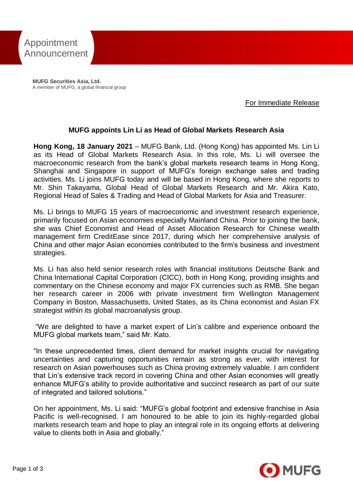

**MUFG Securities Asia, Ltd.** A member of MUFG, a global financial group

For Immediate Release

## **MUFG appoints Lin Li as Head of Global Markets Research Asia**

**Hong Kong, 18 January 2021** – MUFG Bank, Ltd. (Hong Kong) has appointed Ms. Lin Li as its Head of Global Markets Research Asia. In this role, Ms. Li will oversee the macroeconomic research from the bank's global markets research teams in Hong Kong, Shanghai and Singapore in support of MUFG's foreign exchange sales and trading activities. Ms. Li joins MUFG today and will be based in Hong Kong, where she reports to Mr. Shin Takayama, Global Head of Global Markets Research and Mr. Akira Kato, Regional Head of Sales & Trading and Head of Global Markets for Asia and Treasurer.

Ms. Li brings to MUFG 15 years of macroeconomic and investment research experience, primarily focused on Asian economies especially Mainland China. Prior to joining the bank, she was Chief Economist and Head of Asset Allocation Research for Chinese wealth management firm CreditEase since 2017, during which her comprehensive analysis of China and other major Asian economies contributed to the firm's business and investment strategies.

Ms. Li has also held senior research roles with financial institutions Deutsche Bank and China International Capital Corporation (CICC), both in Hong Kong, providing insights and commentary on the Chinese economy and major FX currencies such as RMB. She began her research career in 2006 with private investment firm Wellington Management Company in Boston, Massachusetts, United States, as its China economist and Asian FX strategist within its global macroanalysis group.

"We are delighted to have a market expert of Lin's calibre and experience onboard the MUFG global markets team," said Mr. Kato.

"In these unprecedented times, client demand for market insights crucial for navigating uncertainties and capturing opportunities remain as strong as ever, with interest for research on Asian powerhouses such as China proving extremely valuable. I am confident that Lin's extensive track record in covering China and other Asian economies will greatly enhance MUFG's ability to provide authoritative and succinct research as part of our suite of integrated and tailored solutions."

On her appointment, Ms. Li said: "MUFG's global footprint and extensive franchise in Asia Pacific is well-recognised. I am honoured to be able to join its highly-regarded global markets research team and hope to play an integral role in its ongoing efforts at delivering value to clients both in Asia and globally."

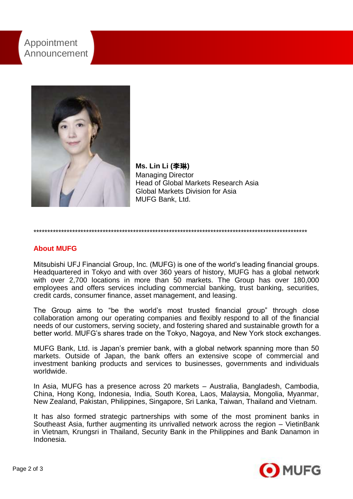# Appointment Announcement



**Ms. Lin Li (**李琳**)** Managing Director Head of Global Markets Research Asia Global Markets Division for Asia MUFG Bank, Ltd.

#### \*\*\*\*\*\*\*\*\*\*\*\*\*\*\*\*\*\*\*\*\*\*\*\*\*\*\*\*\*\*\*\*\*\*\*\*\*\*\*\*\*\*\*\*\*\*\*\*\*\*\*\*\*\*\*\*\*\*\*\*\*\*\*\*\*\*\*\*\*\*\*\*\*\*\*\*\*\*\*\*\*\*\*\*\*\*\*\*\*\*\*\*\*\*\*\*\*\*\*

### **About MUFG**

Mitsubishi UFJ Financial Group, Inc. (MUFG) is one of the world's leading financial groups. Headquartered in Tokyo and with over 360 years of history, MUFG has a global network with over 2,700 locations in more than 50 markets. The Group has over 180,000 employees and offers services including commercial banking, trust banking, securities, credit cards, consumer finance, asset management, and leasing.

The Group aims to "be the world's most trusted financial group" through close collaboration among our operating companies and flexibly respond to all of the financial needs of our customers, serving society, and fostering shared and sustainable growth for a better world. MUFG's shares trade on the Tokyo, Nagoya, and New York stock exchanges.

MUFG Bank, Ltd. is Japan's premier bank, with a global network spanning more than 50 markets. Outside of Japan, the bank offers an extensive scope of commercial and investment banking products and services to businesses, governments and individuals worldwide.

In Asia, MUFG has a presence across 20 markets – Australia, Bangladesh, Cambodia, China, Hong Kong, Indonesia, India, South Korea, Laos, Malaysia, Mongolia, Myanmar, New Zealand, Pakistan, Philippines, Singapore, Sri Lanka, Taiwan, Thailand and Vietnam.

It has also formed strategic partnerships with some of the most prominent banks in Southeast Asia, further augmenting its unrivalled network across the region – VietinBank in Vietnam, Krungsri in Thailand, Security Bank in the Philippines and Bank Danamon in Indonesia.